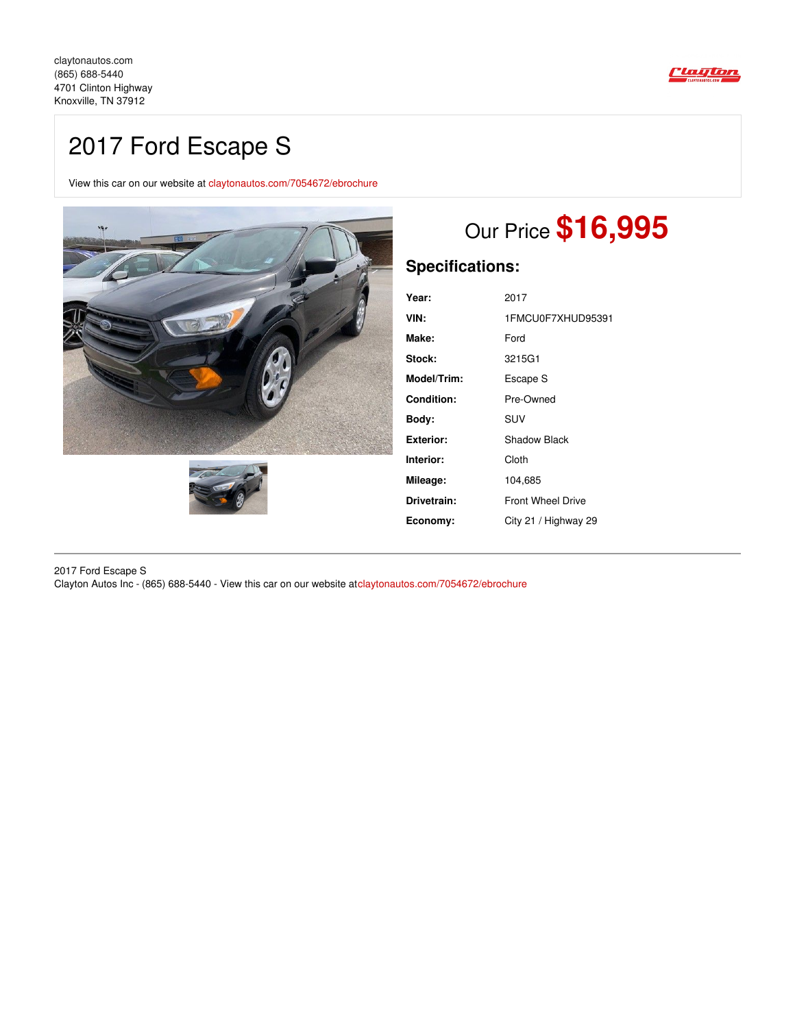

## 2017 Ford Escape S

View this car on our website at [claytonautos.com/7054672/ebrochure](https://claytonautos.com/vehicle/7054672/2017-ford-escape-s-knoxville-tn-37912/7054672/ebrochure)





# Our Price **\$16,995**

## **Specifications:**

| Year:            | 2017                     |
|------------------|--------------------------|
| VIN:             | 1FMCU0F7XHUD95391        |
| Make:            | Ford                     |
| Stock:           | 3215G1                   |
| Model/Trim:      | Escape S                 |
| Condition:       | Pre-Owned                |
| Body:            | <b>SUV</b>               |
| <b>Exterior:</b> | Shadow Black             |
| Interior:        | Cloth                    |
| Mileage:         | 104,685                  |
| Drivetrain:      | <b>Front Wheel Drive</b> |
| Economy:         | City 21 / Highway 29     |

2017 Ford Escape S Clayton Autos Inc - (865) 688-5440 - View this car on our website at[claytonautos.com/7054672/ebrochure](https://claytonautos.com/vehicle/7054672/2017-ford-escape-s-knoxville-tn-37912/7054672/ebrochure)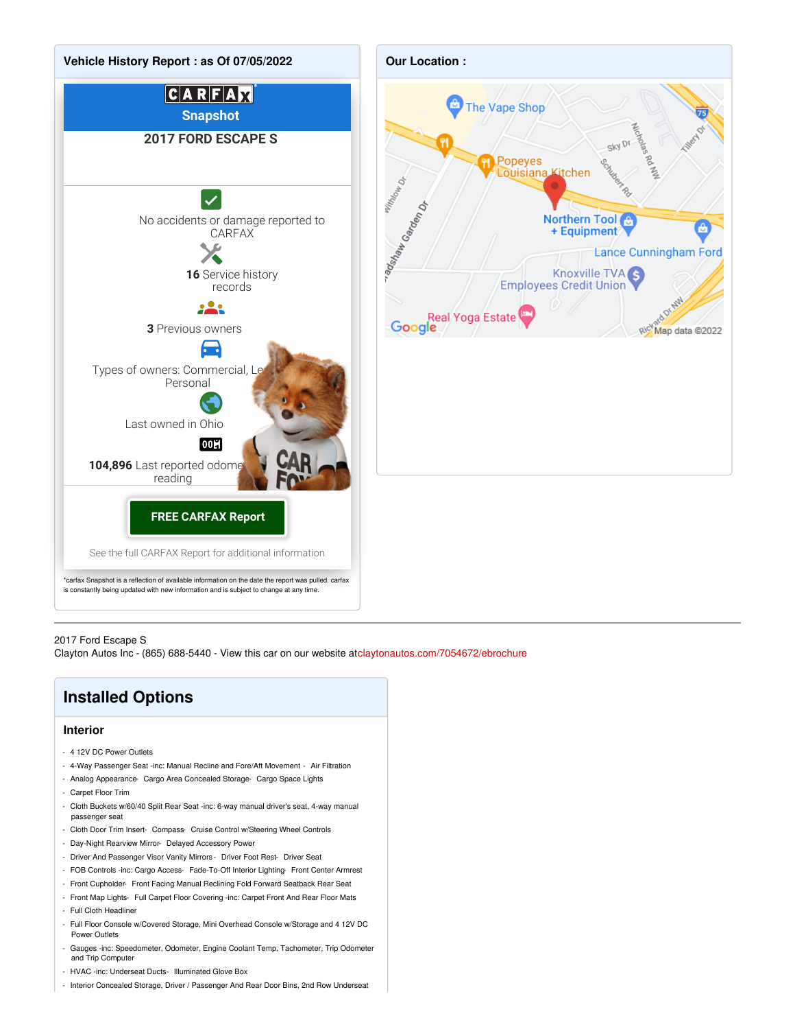

#### 2017 Ford Escape S

Clayton Autos Inc - (865) 688-5440 - View this car on our website at[claytonautos.com/7054672/ebrochure](https://claytonautos.com/vehicle/7054672/2017-ford-escape-s-knoxville-tn-37912/7054672/ebrochure)

### **Installed Options**

#### **Interior**

- 4 12V DC Power Outlets
- 4-Way Passenger Seat -inc: Manual Recline and Fore/Aft Movement Air Filtration
- Analog Appearance- Cargo Area Concealed Storage- Cargo Space Lights
- Carpet Floor Trim
- Cloth Buckets w/60/40 Split Rear Seat -inc: 6-way manual driver's seat, 4-way manual passenger seat
- Cloth Door Trim Insert- Compass- Cruise Control w/Steering Wheel Controls
- Day-Night Rearview Mirror- Delayed Accessory Power
- Driver And Passenger Visor Vanity Mirrors Driver Foot Rest- Driver Seat
- FOB Controls -inc: Cargo Access- Fade-To-Off Interior Lighting- Front Center Armrest
- Front Cupholder- Front Facing Manual Reclining Fold Forward Seatback Rear Seat
- Front Map Lights- Full Carpet Floor Covering -inc: Carpet Front And Rear Floor Mats
- Full Cloth Headliner
- Full Floor Console w/Covered Storage, Mini Overhead Console w/Storage and 4 12V DC Power Outlets
- Gauges -inc: Speedometer, Odometer, Engine Coolant Temp, Tachometer, Trip Odometer and Trip Computer
- HVAC -inc: Underseat Ducts- Illuminated Glove Box
- Interior Concealed Storage, Driver / Passenger And Rear Door Bins, 2nd Row Underseat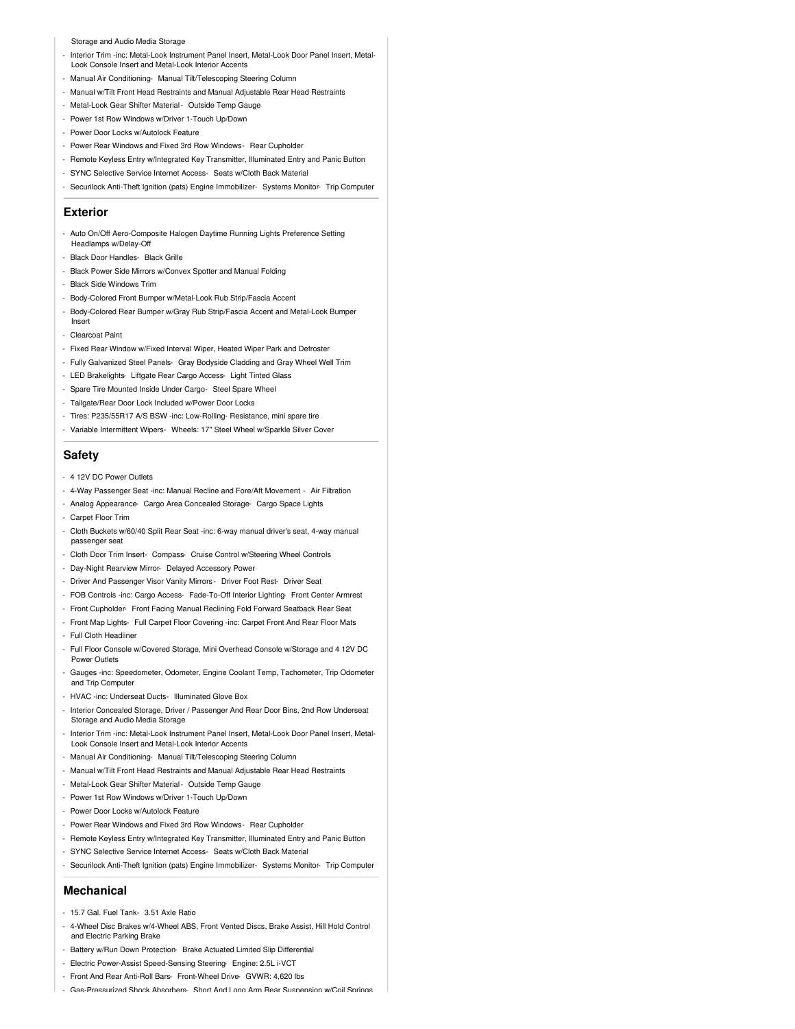#### Storage and Audio Media Storage

- Interior Trim -inc: Metal-Look Instrument Panel Insert, Metal-Look Door Panel Insert, Metal-Look Console Insert and Metal-Look Interior Accents
- Manual Air Conditioning- Manual Tilt/Telescoping Steering Column
- Manual w/Tilt Front Head Restraints and Manual Adjustable Rear Head Restraints
- Metal-Look Gear Shifter Material- Outside Temp Gauge
- Power 1st Row Windows w/Driver 1-Touch Up/Down
- Power Door Locks w/Autolock Feature
- Power Rear Windows and Fixed 3rd Row Windows- Rear Cupholder
- Remote Keyless Entry w/Integrated Key Transmitter, Illuminated Entry and Panic Button
- SYNC Selective Service Internet Access- Seats w/Cloth Back Material
- Securilock Anti-Theft Ignition (pats) Engine Immobilizer- Systems Monitor- Trip Computer

#### **Exterior**

- Auto On/Off Aero-Composite Halogen Daytime Running Lights Preference Setting Headlamps w/Delay-Off
- Black Door Handles- Black Grille
- Black Power Side Mirrors w/Convex Spotter and Manual Folding
- Black Side Windows Trim
- Body-Colored Front Bumper w/Metal-Look Rub Strip/Fascia Accent
- Body-Colored Rear Bumper w/Gray Rub Strip/Fascia Accent and Metal-Look Bumper Insert
- Clearcoat Paint
- Fixed Rear Window w/Fixed Interval Wiper, Heated Wiper Park and Defroster
- Fully Galvanized Steel Panels- Gray Bodyside Cladding and Gray Wheel Well Trim
- LED Brakelights- Liftgate Rear Cargo Access- Light Tinted Glass
- Spare Tire Mounted Inside Under Cargo- Steel Spare Wheel
- Tailgate/Rear Door Lock Included w/Power Door Locks
- Tires: P235/55R17 A/S BSW -inc: Low-Rolling- Resistance, mini spare tire
- Variable Intermittent Wipers- Wheels: 17" Steel Wheel w/Sparkle Silver Cover

#### **Safety**

- 4 12V DC Power Outlets
- 4-Way Passenger Seat -inc: Manual Recline and Fore/Aft Movement Air Filtration
- Analog Appearance- Cargo Area Concealed Storage- Cargo Space Lights
- Carpet Floor Trim
- Cloth Buckets w/60/40 Split Rear Seat -inc: 6-way manual driver's seat, 4-way manual passenger seat
- Cloth Door Trim Insert- Compass- Cruise Control w/Steering Wheel Controls
- Day-Night Rearview Mirror- Delayed Accessory Power
- Driver And Passenger Visor Vanity Mirrors Driver Foot Rest- Driver Seat
- FOB Controls -inc: Cargo Access- Fade-To-Off Interior Lighting- Front Center Armrest
- Front Cupholder- Front Facing Manual Reclining Fold Forward Seatback Rear Seat
- Front Map Lights- Full Carpet Floor Covering -inc: Carpet Front And Rear Floor Mats
- Full Cloth Headliner
- Full Floor Console w/Covered Storage, Mini Overhead Console w/Storage and 4 12V DC Power Outlets
- Gauges -inc: Speedometer, Odometer, Engine Coolant Temp, Tachometer, Trip Odometer and Trip Computer
- HVAC -inc: Underseat Ducts- Illuminated Glove Box
- Interior Concealed Storage, Driver / Passenger And Rear Door Bins, 2nd Row Underseat Storage and Audio Media Storage
- Interior Trim -inc: Metal-Look Instrument Panel Insert, Metal-Look Door Panel Insert, Metal-Look Console Insert and Metal-Look Interior Accents
- Manual Air Conditioning- Manual Tilt/Telescoping Steering Column
- Manual w/Tilt Front Head Restraints and Manual Adjustable Rear Head Restraints
- Metal-Look Gear Shifter Material- Outside Temp Gauge
- Power 1st Row Windows w/Driver 1-Touch Up/Down
- Power Door Locks w/Autolock Feature
- Power Rear Windows and Fixed 3rd Row Windows- Rear Cupholder
- Remote Keyless Entry w/Integrated Key Transmitter, Illuminated Entry and Panic Button
- SYNC Selective Service Internet Access- Seats w/Cloth Back Material
- Securilock Anti-Theft Ignition (pats) Engine Immobilizer- Systems Monitor- Trip Computer

#### **Mechanical**

- 15.7 Gal. Fuel Tank- 3.51 Axle Ratio
- 4-Wheel Disc Brakes w/4-Wheel ABS, Front Vented Discs, Brake Assist, Hill Hold Control and Electric Parking Brake
- Battery w/Run Down Protection- Brake Actuated Limited Slip Differential
- Electric Power-Assist Speed-Sensing Steering- Engine: 2.5L i-VCT
- Front And Rear Anti-Roll Bars- Front-Wheel Drive- GVWR: 4,620 lbs
- Gas-Pressurized Shock Absorbers- Short And Long Arm Rear Suspension w/Coil Springs